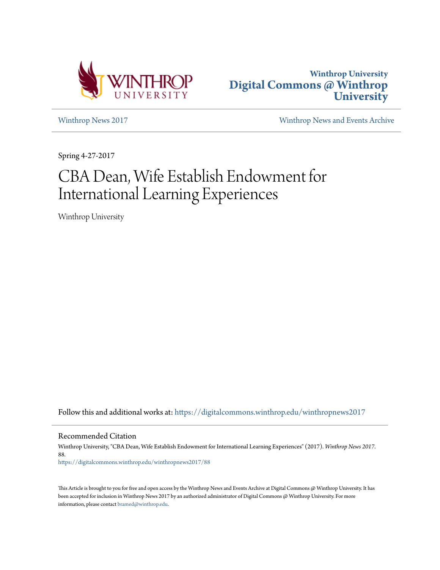



[Winthrop News 2017](https://digitalcommons.winthrop.edu/winthropnews2017?utm_source=digitalcommons.winthrop.edu%2Fwinthropnews2017%2F88&utm_medium=PDF&utm_campaign=PDFCoverPages) [Winthrop News and Events Archive](https://digitalcommons.winthrop.edu/winthropnewsarchives?utm_source=digitalcommons.winthrop.edu%2Fwinthropnews2017%2F88&utm_medium=PDF&utm_campaign=PDFCoverPages)

Spring 4-27-2017

# CBA Dean, Wife Establish Endowment for International Learning Experiences

Winthrop University

Follow this and additional works at: [https://digitalcommons.winthrop.edu/winthropnews2017](https://digitalcommons.winthrop.edu/winthropnews2017?utm_source=digitalcommons.winthrop.edu%2Fwinthropnews2017%2F88&utm_medium=PDF&utm_campaign=PDFCoverPages)

Recommended Citation

Winthrop University, "CBA Dean, Wife Establish Endowment for International Learning Experiences" (2017). *Winthrop News 2017*. 88.

[https://digitalcommons.winthrop.edu/winthropnews2017/88](https://digitalcommons.winthrop.edu/winthropnews2017/88?utm_source=digitalcommons.winthrop.edu%2Fwinthropnews2017%2F88&utm_medium=PDF&utm_campaign=PDFCoverPages)

This Article is brought to you for free and open access by the Winthrop News and Events Archive at Digital Commons @ Winthrop University. It has been accepted for inclusion in Winthrop News 2017 by an authorized administrator of Digital Commons @ Winthrop University. For more information, please contact [bramed@winthrop.edu](mailto:bramed@winthrop.edu).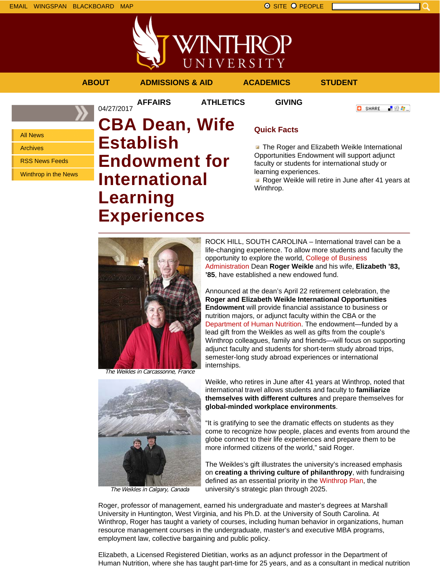



**AFFAIRS ATHLETICS GIVING**

**ABOUT ADMISSIONS & AID ACADEMICS STUDENT**

**O** SHARE 上没身。

### All News

Archives

RSS News Feeds

Winthrop in the News

# 04/27/2017 **CBA Dean, Wife Establish Endowment for International Learning Experiences**

## **Quick Facts**

**The Roger and Elizabeth Weikle International** Opportunities Endowment will support adjunct faculty or students for international study or learning experiences.

Roger Weikle will retire in June after 41 years at Winthrop.





The Weikles in Calgary, Canada

ROCK HILL, SOUTH CAROLINA – International travel can be a life-changing experience. To allow more students and faculty the opportunity to explore the world, College of Business Administration Dean **Roger Weikle** and his wife, **Elizabeth '83, '85**, have established a new endowed fund.

Announced at the dean's April 22 retirement celebration, the **Roger and Elizabeth Weikle International Opportunities Endowment** will provide financial assistance to business or nutrition majors, or adjunct faculty within the CBA or the Department of Human Nutrition. The endowment—funded by a lead gift from the Weikles as well as gifts from the couple's Winthrop colleagues, family and friends—will focus on supporting adjunct faculty and students for short-term study abroad trips, semester-long study abroad experiences or international internships.

Weikle, who retires in June after 41 years at Winthrop, noted that international travel allows students and faculty to **familiarize themselves with different cultures** and prepare themselves for **global-minded workplace environments**.

"It is gratifying to see the dramatic effects on students as they come to recognize how people, places and events from around the globe connect to their life experiences and prepare them to be more informed citizens of the world," said Roger.

The Weikles's gift illustrates the university's increased emphasis on **creating a thriving culture of philanthropy**, with fundraising defined as an essential priority in the Winthrop Plan, the university's strategic plan through 2025.

Roger, professor of management, earned his undergraduate and master's degrees at Marshall University in Huntington, West Virginia, and his Ph.D. at the University of South Carolina. At Winthrop, Roger has taught a variety of courses, including human behavior in organizations, human resource management courses in the undergraduate, master's and executive MBA programs, employment law, collective bargaining and public policy.

Elizabeth, a Licensed Registered Dietitian, works as an adjunct professor in the Department of Human Nutrition, where she has taught part-time for 25 years, and as a consultant in medical nutrition